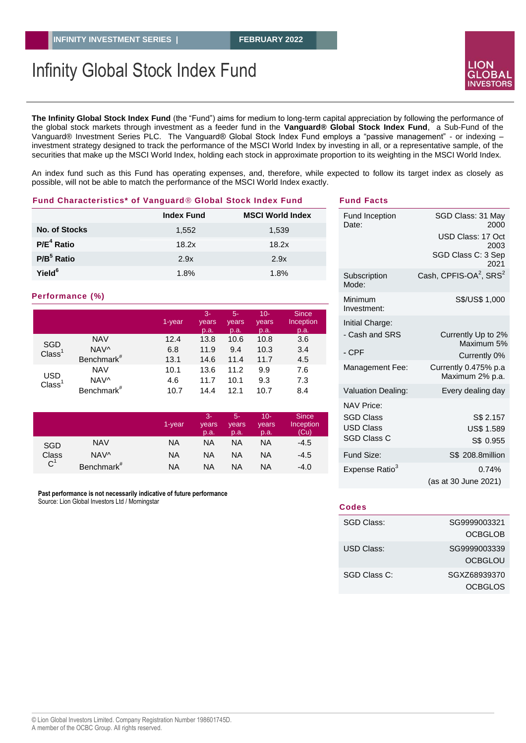# Infinity Global Stock Index Fund



**The Infinity Global Stock Index Fund** (the "Fund") aims for medium to long-term capital appreciation by following the performance of the global stock markets through investment as a feeder fund in the **Vanguard® Global Stock Index Fund**, a Sub-Fund of the Vanguard® Investment Series PLC. The Vanguard® Global Stock Index Fund employs a "passive management" - or indexing – investment strategy designed to track the performance of the MSCI World Index by investing in all, or a representative sample, of the securities that make up the MSCI World Index, holding each stock in approximate proportion to its weighting in the MSCI World Index.

An index fund such as this Fund has operating expenses, and, therefore, while expected to follow its target index as closely as possible, will not be able to match the performance of the MSCI World Index exactly.

#### **Fund Characteristics\* of Vanguard***®* **Global Stock Index Fund**

|                      | <b>Index Fund</b> | <b>MSCI World Index</b> |
|----------------------|-------------------|-------------------------|
| <b>No. of Stocks</b> | 1,552             | 1,539                   |
| $P/E4$ Ratio         | 18.2x             | 18.2x                   |
| $P/B5$ Ratio         | 2.9x              | 2.9x                    |
| Yield <sup>6</sup>   | 1.8%              | 1.8%                    |

#### **Performance (%)**

|                                  |                        | 1-year | $3-$<br>years<br>p.a. | $5-$<br>years<br>p.a. | $10 -$<br>years<br>p.a. | <b>Since</b><br>Inception<br>p.a. |
|----------------------------------|------------------------|--------|-----------------------|-----------------------|-------------------------|-----------------------------------|
| SGD<br>Class <sup>1</sup>        | <b>NAV</b>             | 12.4   | 13.8                  | 10.6                  | 10.8                    | 3.6                               |
|                                  | NAV^                   | 6.8    | 11.9                  | 9.4                   | 10.3                    | 3.4                               |
|                                  | Benchmark <sup>#</sup> | 13.1   | 14.6                  | 11.4                  | 11.7                    | 4.5                               |
| <b>USD</b><br>Class <sup>1</sup> | <b>NAV</b>             | 10.1   | 13.6                  | 11.2                  | 9.9                     | 7.6                               |
|                                  | NAV^                   | 4.6    | 11.7                  | 10.1                  | 9.3                     | 7.3                               |
|                                  | Benchmark <sup>#</sup> | 10.7   | 14.4                  | 12.1                  | 10.7                    | 8.4                               |

|                                                             |                        | 1-year | 3-<br>years<br>p.a. | $5-$<br>vears<br>p.a. | $10-$<br>vears<br>p.a. | <b>Since</b><br>Inception<br>(Cu) |
|-------------------------------------------------------------|------------------------|--------|---------------------|-----------------------|------------------------|-----------------------------------|
| <b>NAV</b><br><b>SGD</b><br>Class<br>NAV^<br>C <sup>1</sup> |                        | NA     | ΝA                  | ΝA                    | NA                     | $-4.5$                            |
|                                                             |                        | NA     | ΝA                  | NA                    | ΝA                     | $-4.5$                            |
|                                                             | Benchmark <sup>#</sup> | ΝA     | ΝA                  | NA                    | NA                     | $-4.0$                            |

**Past performance is not necessarily indicative of future performance** Source: Lion Global Investors Ltd / Morningstar

| <b>Fund Inception</b><br>Date:         | SGD Class: 31 May<br>2000                      |
|----------------------------------------|------------------------------------------------|
|                                        | USD Class: 17 Oct<br>2003                      |
|                                        | SGD Class C: 3 Sep<br>2021                     |
| Subscription<br>Mode:                  | Cash, CPFIS-OA <sup>2</sup> , SRS <sup>2</sup> |
| Minimum<br>Investment:                 | S\$/US\$ 1,000                                 |
| Initial Charge:                        |                                                |
| - Cash and SRS                         | Currently Up to 2%<br>Maximum 5%               |
| - CPF                                  | Currently 0%                                   |
| Management Fee:                        | Currently 0.475% p.a<br>Maximum 2% p.a.        |
| Valuation Dealing:                     | Every dealing day                              |
| <b>NAV Price:</b>                      |                                                |
| <b>SGD Class</b>                       | S\$ 2.157                                      |
| <b>USD Class</b><br><b>SGD Class C</b> | <b>US\$ 1.589</b>                              |
|                                        | S\$ 0.955                                      |
| Fund Size:                             | S\$ 208.8million                               |
| Expense Ratio <sup>3</sup>             | 0.74%                                          |
|                                        | (as at 30 June 2021)                           |

**Fund Facts**

| Codes        |              |
|--------------|--------------|
| SGD Class:   | SG9999003321 |
|              | OCBGLOB      |
| USD Class:   | SG9999003339 |
|              | OCBGLOU      |
| SGD Class C: | SGXZ68939370 |
|              | OCBGLOS      |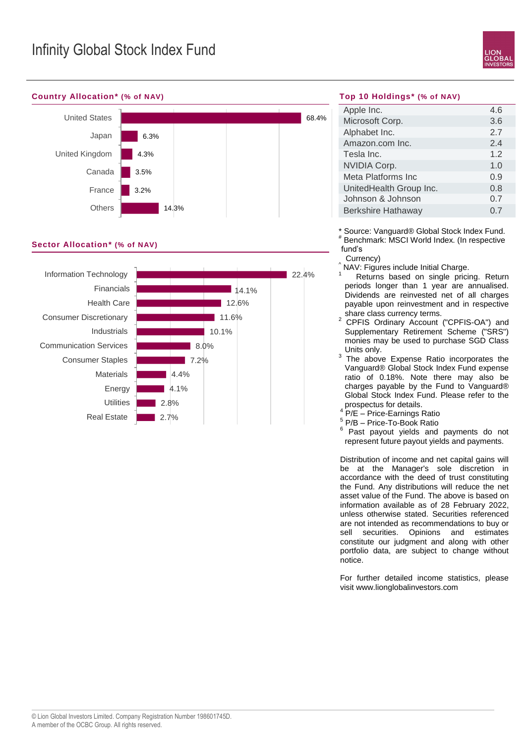

#### **Country Allocation\* (% of NAV)**



### **Sector Allocation\* (% of NAV)**



#### **Top 10 Holdings\* (% of NAV)**

| Apple Inc.                | 4.6 |
|---------------------------|-----|
| Microsoft Corp.           | 3.6 |
| Alphabet Inc.             | 2.7 |
| Amazon.com Inc.           | 2.4 |
| Tesla Inc.                | 12  |
| <b>NVIDIA Corp.</b>       | 1.0 |
| Meta Platforms Inc        | 0.9 |
| UnitedHealth Group Inc.   | 0.8 |
| Johnson & Johnson         | 0.7 |
| <b>Berkshire Hathaway</b> | 07  |
|                           |     |

\* Source: Vanguard® Global Stock Index Fund. # Benchmark: MSCI World Index. (In respective fund's

Currency)

NAV: Figures include Initial Charge.

Returns based on single pricing. Return periods longer than 1 year are annualised. Dividends are reinvested net of all charges payable upon reinvestment and in respective share class currency terms.

<sup>2</sup> CPFIS Ordinary Account ("CPFIS-OA") and Supplementary Retirement Scheme ("SRS") monies may be used to purchase SGD Class Units only.

- 3 The above Expense Ratio incorporates the Vanguard® Global Stock Index Fund expense ratio of 0.18%. Note there may also be charges payable by the Fund to Vanguard® Global Stock Index Fund. Please refer to the prospectus for details.
- 4 P/E – Price-Earnings Ratio
- 5 P/B Price-To-Book Ratio 6
- Past payout yields and payments do not represent future payout yields and payments.

Distribution of income and net capital gains will be at the Manager's sole discretion in accordance with the deed of trust constituting the Fund. Any distributions will reduce the net asset value of the Fund. The above is based on information available as of 28 February 2022, unless otherwise stated. Securities referenced are not intended as recommendations to buy or sell securities. Opinions and estimates constitute our judgment and along with other portfolio data, are subject to change without notice.

For further detailed income statistics, please visit www.lionglobalinvestors.com